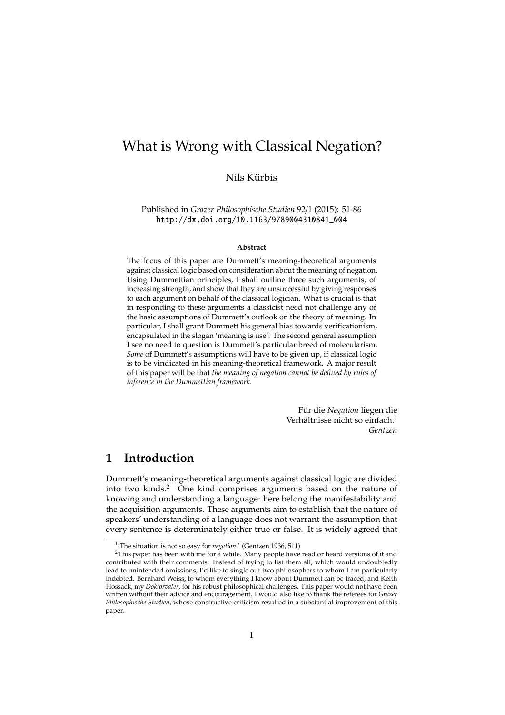# What is Wrong with Classical Negation?

Nils Kürbis

Published in *Grazer Philosophische Studien* 92/1 (2015): 51-86 http://dx.doi.org/10.1163/9789004310841\_004

#### **Abstract**

The focus of this paper are Dummett's meaning-theoretical arguments against classical logic based on consideration about the meaning of negation. Using Dummettian principles, I shall outline three such arguments, of increasing strength, and show that they are unsuccessful by giving responses to each argument on behalf of the classical logician. What is crucial is that in responding to these arguments a classicist need not challenge any of the basic assumptions of Dummett's outlook on the theory of meaning. In particular, I shall grant Dummett his general bias towards verificationism, encapsulated in the slogan 'meaning is use'. The second general assumption I see no need to question is Dummett's particular breed of molecularism. *Some* of Dummett's assumptions will have to be given up, if classical logic is to be vindicated in his meaning-theoretical framework. A major result of this paper will be that *the meaning of negation cannot be defined by rules of inference in the Dummettian framework*.

> Für die Negation liegen die Verhältnisse nicht so einfach.<sup>1</sup> *Gentzen*

## **1 Introduction**

Dummett's meaning-theoretical arguments against classical logic are divided into two kinds.<sup>2</sup> One kind comprises arguments based on the nature of knowing and understanding a language: here belong the manifestability and the acquisition arguments. These arguments aim to establish that the nature of speakers' understanding of a language does not warrant the assumption that every sentence is determinately either true or false. It is widely agreed that

<sup>1</sup> 'The situation is not so easy for *negation*.' (Gentzen 1936, 511)

<sup>&</sup>lt;sup>2</sup>This paper has been with me for a while. Many people have read or heard versions of it and contributed with their comments. Instead of trying to list them all, which would undoubtedly lead to unintended omissions, I'd like to single out two philosophers to whom I am particularly indebted. Bernhard Weiss, to whom everything I know about Dummett can be traced, and Keith Hossack, my *Doktorvater*, for his robust philosophical challenges. This paper would not have been written without their advice and encouragement. I would also like to thank the referees for *Grazer Philosophische Studien*, whose constructive criticism resulted in a substantial improvement of this paper.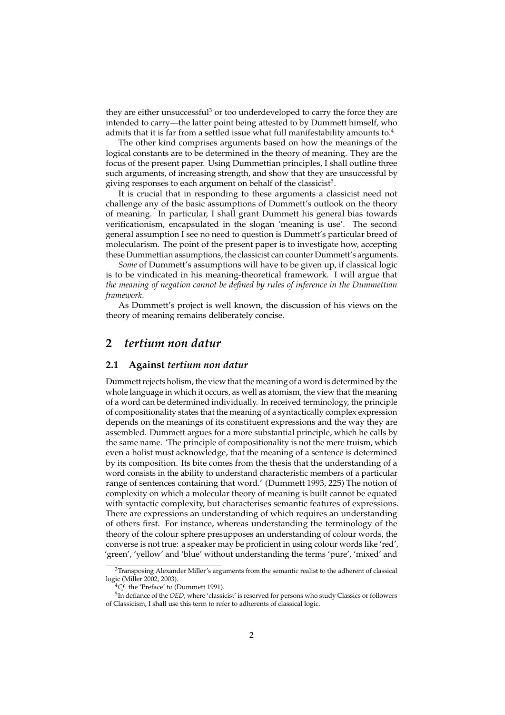they are either unsuccessful<sup>3</sup> or too underdeveloped to carry the force they are intended to carry—the latter point being attested to by Dummett himself, who admits that it is far from a settled issue what full manifestability amounts to.<sup>4</sup>

The other kind comprises arguments based on how the meanings of the logical constants are to be determined in the theory of meaning. They are the focus of the present paper. Using Dummettian principles, I shall outline three such arguments, of increasing strength, and show that they are unsuccessful by giving responses to each argument on behalf of the classicist $^5$ .

It is crucial that in responding to these arguments a classicist need not challenge any of the basic assumptions of Dummett's outlook on the theory of meaning. In particular, I shall grant Dummett his general bias towards verificationism, encapsulated in the slogan 'meaning is use'. The second general assumption I see no need to question is Dummett's particular breed of molecularism. The point of the present paper is to investigate how, accepting these Dummettian assumptions, the classicist can counter Dummett's arguments.

*Some* of Dummett's assumptions will have to be given up, if classical logic is to be vindicated in his meaning-theoretical framework. I will argue that *the meaning of negation cannot be defined by rules of inference in the Dummettian framework*.

As Dummett's project is well known, the discussion of his views on the theory of meaning remains deliberately concise.

## **2** *tertium non datur*

#### **2.1 Against** *tertium non datur*

Dummett rejects holism, the view that the meaning of a word is determined by the whole language in which it occurs, as well as atomism, the view that the meaning of a word can be determined individually. In received terminology, the principle of compositionality states that the meaning of a syntactically complex expression depends on the meanings of its constituent expressions and the way they are assembled. Dummett argues for a more substantial principle, which he calls by the same name. 'The principle of compositionality is not the mere truism, which even a holist must acknowledge, that the meaning of a sentence is determined by its composition. Its bite comes from the thesis that the understanding of a word consists in the ability to understand characteristic members of a particular range of sentences containing that word.' (Dummett 1993, 225) The notion of complexity on which a molecular theory of meaning is built cannot be equated with syntactic complexity, but characterises semantic features of expressions. There are expressions an understanding of which requires an understanding of others first. For instance, whereas understanding the terminology of the theory of the colour sphere presupposes an understanding of colour words, the converse is not true: a speaker may be proficient in using colour words like 'red', 'green', 'yellow' and 'blue' without understanding the terms 'pure', 'mixed' and

<sup>&</sup>lt;sup>3</sup>Transposing Alexander Miller's arguments from the semantic realist to the adherent of classical logic (Miller 2002, 2003).

<sup>&</sup>lt;sup>4</sup>Cf. the 'Preface' to (Dummett 1991).

<sup>5</sup> In defiance of the *OED*, where 'classicist' is reserved for persons who study Classics or followers of Classicism, I shall use this term to refer to adherents of classical logic.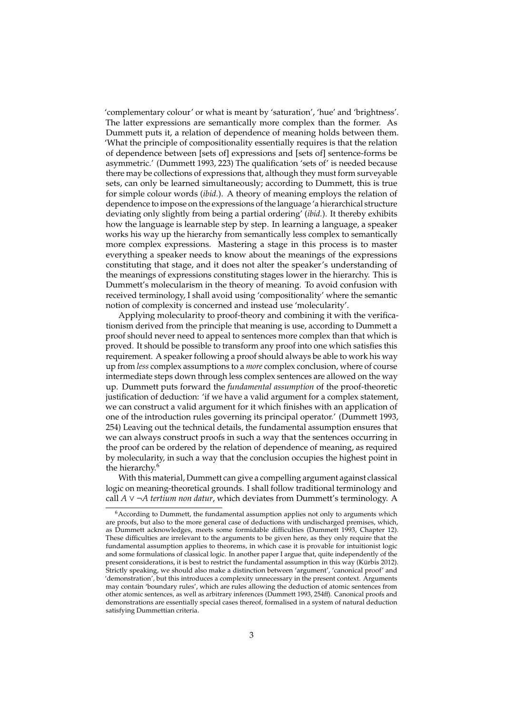'complementary colour' or what is meant by 'saturation', 'hue' and 'brightness'. The latter expressions are semantically more complex than the former. As Dummett puts it, a relation of dependence of meaning holds between them. 'What the principle of compositionality essentially requires is that the relation of dependence between [sets of] expressions and [sets of] sentence-forms be asymmetric.' (Dummett 1993, 223) The qualification 'sets of' is needed because there may be collections of expressions that, although they must form surveyable sets, can only be learned simultaneously; according to Dummett, this is true for simple colour words (*ibid.*). A theory of meaning employs the relation of dependence to impose on the expressions of the language 'a hierarchical structure deviating only slightly from being a partial ordering' (*ibid.*). It thereby exhibits how the language is learnable step by step. In learning a language, a speaker works his way up the hierarchy from semantically less complex to semantically more complex expressions. Mastering a stage in this process is to master everything a speaker needs to know about the meanings of the expressions constituting that stage, and it does not alter the speaker's understanding of the meanings of expressions constituting stages lower in the hierarchy. This is Dummett's molecularism in the theory of meaning. To avoid confusion with received terminology, I shall avoid using 'compositionality' where the semantic notion of complexity is concerned and instead use 'molecularity'.

Applying molecularity to proof-theory and combining it with the verificationism derived from the principle that meaning is use, according to Dummett a proof should never need to appeal to sentences more complex than that which is proved. It should be possible to transform any proof into one which satisfies this requirement. A speaker following a proof should always be able to work his way up from *less* complex assumptions to a *more* complex conclusion, where of course intermediate steps down through less complex sentences are allowed on the way up. Dummett puts forward the *fundamental assumption* of the proof-theoretic justification of deduction: 'if we have a valid argument for a complex statement, we can construct a valid argument for it which finishes with an application of one of the introduction rules governing its principal operator.' (Dummett 1993, 254) Leaving out the technical details, the fundamental assumption ensures that we can always construct proofs in such a way that the sentences occurring in the proof can be ordered by the relation of dependence of meaning, as required by molecularity, in such a way that the conclusion occupies the highest point in the hierarchy.<sup>6</sup>

With this material, Dummett can give a compelling argument against classical logic on meaning-theoretical grounds. I shall follow traditional terminology and call  $A \vee \neg A$  *tertium non datur*, which deviates from Dummett's terminology. A

 $6$ According to Dummett, the fundamental assumption applies not only to arguments which are proofs, but also to the more general case of deductions with undischarged premises, which, as Dummett acknowledges, meets some formidable difficulties (Dummett 1993, Chapter 12). These difficulties are irrelevant to the arguments to be given here, as they only require that the fundamental assumption applies to theorems, in which case it is provable for intuitionist logic and some formulations of classical logic. In another paper I argue that, quite independently of the present considerations, it is best to restrict the fundamental assumption in this way (Kürbis 2012). Strictly speaking, we should also make a distinction between 'argument', 'canonical proof' and 'demonstration', but this introduces a complexity unnecessary in the present context. Arguments may contain 'boundary rules', which are rules allowing the deduction of atomic sentences from other atomic sentences, as well as arbitrary inferences (Dummett 1993, 254ff). Canonical proofs and demonstrations are essentially special cases thereof, formalised in a system of natural deduction satisfying Dummettian criteria.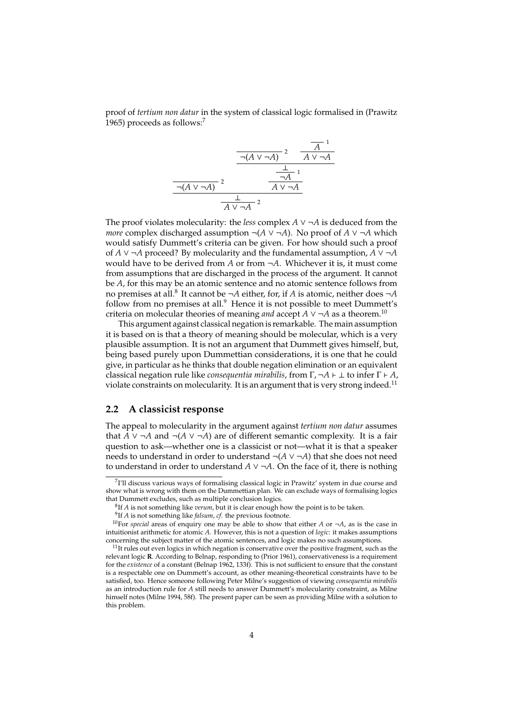proof of *tertium non datur* in the system of classical logic formalised in (Prawitz 1965) proceeds as follows:<sup>7</sup>

$$
\frac{\frac{1}{\Box(A \lor \Box A)}^2 \frac{\frac{1}{A \lor \Box A}}^1}{\frac{1}{\Box(A \lor \Box A)}^2}
$$
\n
$$
\frac{\frac{1}{\Box A}^1}{\frac{1}{A \lor \Box A}^2}
$$

The proof violates molecularity: the *less* complex *A* ∨ ¬*A* is deduced from the *more* complex discharged assumption ¬(*A* ∨ ¬*A*). No proof of *A* ∨ ¬*A* which would satisfy Dummett's criteria can be given. For how should such a proof of *A* ∨ ¬*A* proceed? By molecularity and the fundamental assumption, *A* ∨ ¬*A* would have to be derived from *A* or from ¬*A*. Whichever it is, it must come from assumptions that are discharged in the process of the argument. It cannot be *A*, for this may be an atomic sentence and no atomic sentence follows from no premises at all.<sup>8</sup> It cannot be ¬*A* either, for, if *A* is atomic, neither does ¬*A* follow from no premises at all.<sup>9</sup> Hence it is not possible to meet Dummett's criteria on molecular theories of meaning *and* accept  $A \vee \neg A$  as a theorem.<sup>10</sup>

This argument against classical negation is remarkable. The main assumption it is based on is that a theory of meaning should be molecular, which is a very plausible assumption. It is not an argument that Dummett gives himself, but, being based purely upon Dummettian considerations, it is one that he could give, in particular as he thinks that double negation elimination or an equivalent classical negation rule like *consequentia mirabilis*, from  $\Gamma$ ,  $\neg A \vdash \bot$  to infer  $\Gamma \vdash A$ , violate constraints on molecularity. It is an argument that is very strong indeed.<sup>11</sup>

### **2.2 A classicist response**

The appeal to molecularity in the argument against *tertium non datur* assumes that *A* ∨ ¬*A* and ¬(*A* ∨ ¬*A*) are of different semantic complexity. It is a fair question to ask—whether one is a classicist or not—what it is that a speaker needs to understand in order to understand ¬(*A* ∨ ¬*A*) that she does not need to understand in order to understand  $A \vee \neg A$ . On the face of it, there is nothing

<sup>&</sup>lt;sup>7</sup>I'll discuss various ways of formalising classical logic in Prawitz' system in due course and show what is wrong with them on the Dummettian plan. We can exclude ways of formalising logics that Dummett excludes, such as multiple conclusion logics.

<sup>8</sup> If *A* is not something like *verum*, but it is clear enough how the point is to be taken.

<sup>9</sup> If *A* is not something like *falsum*, *cf.* the previous footnote.

<sup>&</sup>lt;sup>10</sup>For *special* areas of enquiry one may be able to show that either *A* or  $\neg A$ , as is the case in intuitionist arithmetic for atomic *A*. However, this is not a question of *logic*: it makes assumptions concerning the subject matter of the atomic sentences, and logic makes no such assumptions.

 $11$ It rules out even logics in which negation is conservative over the positive fragment, such as the relevant logic **R**. According to Belnap, responding to (Prior 1961), conservativeness is a requirement for the *existence* of a constant (Belnap 1962, 133f). This is not sufficient to ensure that the constant is a respectable one on Dummett's account, as other meaning-theoretical constraints have to be satisfied, too. Hence someone following Peter Milne's suggestion of viewing *consequentia mirabilis* as an introduction rule for *A* still needs to answer Dummett's molecularity constraint, as Milne himself notes (Milne 1994, 58f). The present paper can be seen as providing Milne with a solution to this problem.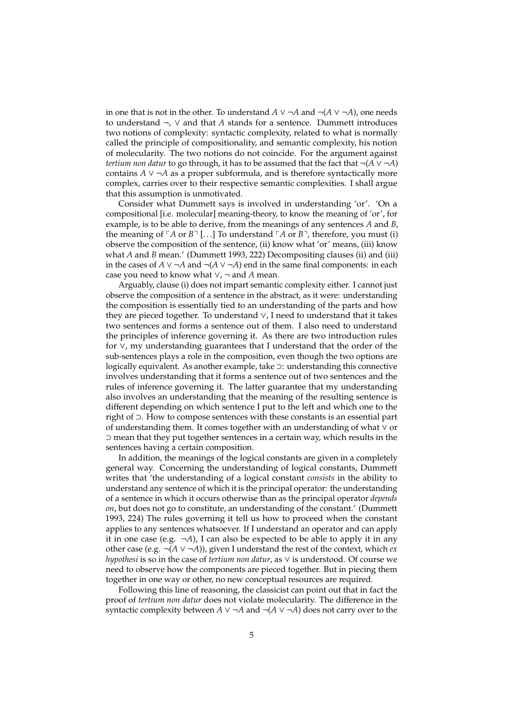in one that is not in the other. To understand *A* ∨ ¬*A* and ¬(*A* ∨ ¬*A*), one needs to understand ¬, ∨ and that *A* stands for a sentence. Dummett introduces two notions of complexity: syntactic complexity, related to what is normally called the principle of compositionality, and semantic complexity, his notion of molecularity. The two notions do not coincide. For the argument against *tertium non datur* to go through, it has to be assumed that the fact that  $\neg(A \lor \neg A)$ contains *A* ∨ ¬*A* as a proper subformula, and is therefore syntactically more complex, carries over to their respective semantic complexities. I shall argue that this assumption is unmotivated.

Consider what Dummett says is involved in understanding 'or'. 'On a compositional [i.e. molecular] meaning-theory, to know the meaning of 'or', for example, is to be able to derive, from the meanings of any sentences *A* and *B*, the meaning of  $\lceil A \rceil$  or  $B\lceil$ ...] To understand  $\lceil A \rceil$  or  $B\lceil$ , therefore, you must (i) observe the composition of the sentence, (ii) know what 'or' means, (iii) know what *A* and *B* mean.' (Dummett 1993, 222) Decompositing clauses (ii) and (iii) in the cases of *A* ∨  $\neg$ *A* and  $\neg$ (*A* ∨  $\neg$ *A*) end in the same final components: in each case you need to know what ∨, ¬ and *A* mean.

Arguably, clause (i) does not impart semantic complexity either. I cannot just observe the composition of a sentence in the abstract, as it were: understanding the composition is essentially tied to an understanding of the parts and how they are pieced together. To understand ∨, I need to understand that it takes two sentences and forms a sentence out of them. I also need to understand the principles of inference governing it. As there are two introduction rules for ∨, my understanding guarantees that I understand that the order of the sub-sentences plays a role in the composition, even though the two options are logically equivalent. As another example, take ⊃: understanding this connective involves understanding that it forms a sentence out of two sentences and the rules of inference governing it. The latter guarantee that my understanding also involves an understanding that the meaning of the resulting sentence is different depending on which sentence I put to the left and which one to the right of ⊃. How to compose sentences with these constants is an essential part of understanding them. It comes together with an understanding of what ∨ or ⊃ mean that they put together sentences in a certain way, which results in the sentences having a certain composition.

In addition, the meanings of the logical constants are given in a completely general way. Concerning the understanding of logical constants, Dummett writes that 'the understanding of a logical constant *consists* in the ability to understand any sentence of which it is the principal operator: the understanding of a sentence in which it occurs otherwise than as the principal operator *depends on*, but does not go to constitute, an understanding of the constant.' (Dummett 1993, 224) The rules governing it tell us how to proceed when the constant applies to any sentences whatsoever. If I understand an operator and can apply it in one case (e.g.  $\neg A$ ), I can also be expected to be able to apply it in any other case (e.g. ¬(*A* ∨ ¬*A*)), given I understand the rest of the context, which *ex hypothesi* is so in the case of *tertium non datur*, as ∨ is understood. Of course we need to observe how the components are pieced together. But in piecing them together in one way or other, no new conceptual resources are required.

Following this line of reasoning, the classicist can point out that in fact the proof of *tertium non datur* does not violate molecularity. The difference in the syntactic complexity between  $A \vee \neg A$  and  $\neg (A \vee \neg A)$  does not carry over to the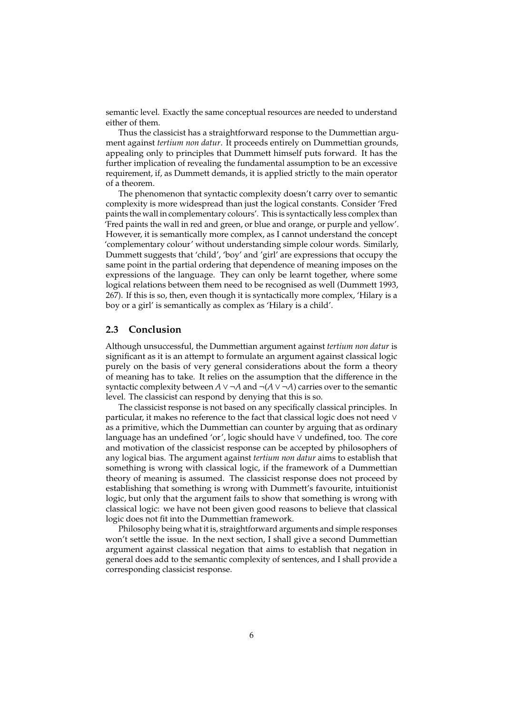semantic level. Exactly the same conceptual resources are needed to understand either of them.

Thus the classicist has a straightforward response to the Dummettian argument against *tertium non datur*. It proceeds entirely on Dummettian grounds, appealing only to principles that Dummett himself puts forward. It has the further implication of revealing the fundamental assumption to be an excessive requirement, if, as Dummett demands, it is applied strictly to the main operator of a theorem.

The phenomenon that syntactic complexity doesn't carry over to semantic complexity is more widespread than just the logical constants. Consider 'Fred paints the wall in complementary colours'. This is syntactically less complex than 'Fred paints the wall in red and green, or blue and orange, or purple and yellow'. However, it is semantically more complex, as I cannot understand the concept 'complementary colour' without understanding simple colour words. Similarly, Dummett suggests that 'child', 'boy' and 'girl' are expressions that occupy the same point in the partial ordering that dependence of meaning imposes on the expressions of the language. They can only be learnt together, where some logical relations between them need to be recognised as well (Dummett 1993, 267). If this is so, then, even though it is syntactically more complex, 'Hilary is a boy or a girl' is semantically as complex as 'Hilary is a child'.

### **2.3 Conclusion**

Although unsuccessful, the Dummettian argument against *tertium non datur* is significant as it is an attempt to formulate an argument against classical logic purely on the basis of very general considerations about the form a theory of meaning has to take. It relies on the assumption that the difference in the syntactic complexity between  $A \vee \neg A$  and  $\neg (A \vee \neg A)$  carries over to the semantic level. The classicist can respond by denying that this is so.

The classicist response is not based on any specifically classical principles. In particular, it makes no reference to the fact that classical logic does not need ∨ as a primitive, which the Dummettian can counter by arguing that as ordinary language has an undefined 'or', logic should have ∨ undefined, too. The core and motivation of the classicist response can be accepted by philosophers of any logical bias. The argument against *tertium non datur* aims to establish that something is wrong with classical logic, if the framework of a Dummettian theory of meaning is assumed. The classicist response does not proceed by establishing that something is wrong with Dummett's favourite, intuitionist logic, but only that the argument fails to show that something is wrong with classical logic: we have not been given good reasons to believe that classical logic does not fit into the Dummettian framework.

Philosophy being what it is, straightforward arguments and simple responses won't settle the issue. In the next section, I shall give a second Dummettian argument against classical negation that aims to establish that negation in general does add to the semantic complexity of sentences, and I shall provide a corresponding classicist response.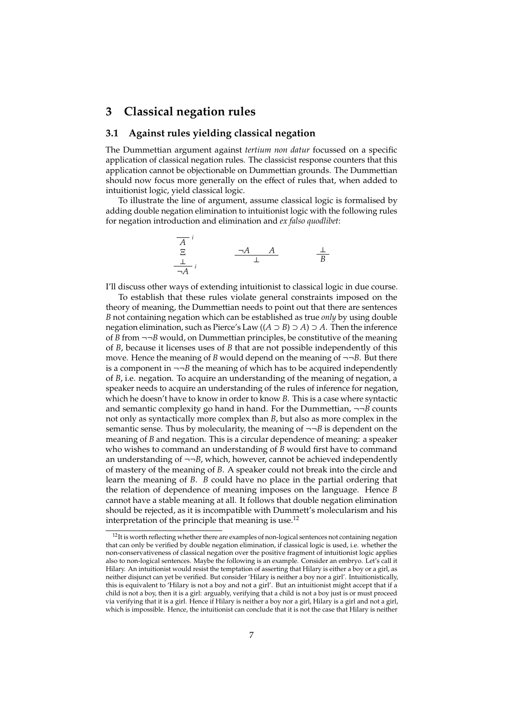## **3 Classical negation rules**

### **3.1 Against rules yielding classical negation**

The Dummettian argument against *tertium non datur* focussed on a specific application of classical negation rules. The classicist response counters that this application cannot be objectionable on Dummettian grounds. The Dummettian should now focus more generally on the effect of rules that, when added to intuitionist logic, yield classical logic.

To illustrate the line of argument, assume classical logic is formalised by adding double negation elimination to intuitionist logic with the following rules for negation introduction and elimination and *ex falso quodlibet*:

$$
\begin{array}{ccc}\n\overline{A} & i \\
\overline{E} & & \overline{\phantom{A}A} & \\
\frac{\bot}{\phantom{A}A} & i & & \overline{B}\n\end{array}
$$

I'll discuss other ways of extending intuitionist to classical logic in due course.

To establish that these rules violate general constraints imposed on the theory of meaning, the Dummettian needs to point out that there are sentences *B* not containing negation which can be established as true *only* by using double negation elimination, such as Pierce's Law ((*A* ⊃ *B*) ⊃ *A*) ⊃ *A*. Then the inference of *B* from ¬¬*B* would, on Dummettian principles, be constitutive of the meaning of *B*, because it licenses uses of *B* that are not possible independently of this move. Hence the meaning of *B* would depend on the meaning of ¬¬*B*. But there is a component in  $\neg$ *-B* the meaning of which has to be acquired independently of *B*, i.e. negation. To acquire an understanding of the meaning of negation, a speaker needs to acquire an understanding of the rules of inference for negation, which he doesn't have to know in order to know *B*. This is a case where syntactic and semantic complexity go hand in hand. For the Dummettian, ¬¬*B* counts not only as syntactically more complex than *B*, but also as more complex in the semantic sense. Thus by molecularity, the meaning of  $\neg\neg B$  is dependent on the meaning of *B* and negation. This is a circular dependence of meaning: a speaker who wishes to command an understanding of *B* would first have to command an understanding of  $\neg\neg B$ , which, however, cannot be achieved independently of mastery of the meaning of *B*. A speaker could not break into the circle and learn the meaning of *B*. *B* could have no place in the partial ordering that the relation of dependence of meaning imposes on the language. Hence *B* cannot have a stable meaning at all. It follows that double negation elimination should be rejected, as it is incompatible with Dummett's molecularism and his interpretation of the principle that meaning is use.<sup>12</sup>

 $12$ It is worth reflecting whether there are examples of non-logical sentences not containing negation that can only be verified by double negation elimination, if classical logic is used, i.e. whether the non-conservativeness of classical negation over the positive fragment of intuitionist logic applies also to non-logical sentences. Maybe the following is an example. Consider an embryo. Let's call it Hilary. An intuitionist would resist the temptation of asserting that Hilary is either a boy or a girl, as neither disjunct can yet be verified. But consider 'Hilary is neither a boy nor a girl'. Intuitionistically, this is equivalent to 'Hilary is not a boy and not a girl'. But an intuitionist might accept that if a child is not a boy, then it is a girl: arguably, verifying that a child is not a boy just is or must proceed via verifying that it is a girl. Hence if Hilary is neither a boy nor a girl, Hilary is a girl and not a girl, which is impossible. Hence, the intuitionist can conclude that it is not the case that Hilary is neither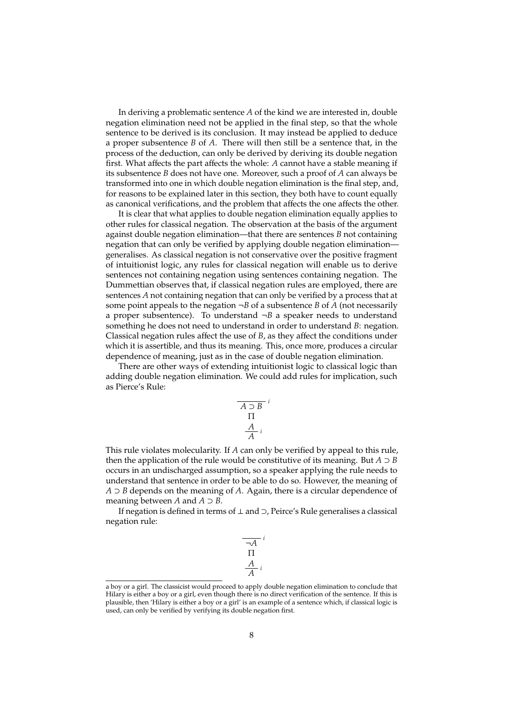In deriving a problematic sentence *A* of the kind we are interested in, double negation elimination need not be applied in the final step, so that the whole sentence to be derived is its conclusion. It may instead be applied to deduce a proper subsentence *B* of *A*. There will then still be a sentence that, in the process of the deduction, can only be derived by deriving its double negation first. What affects the part affects the whole: *A* cannot have a stable meaning if its subsentence *B* does not have one. Moreover, such a proof of *A* can always be transformed into one in which double negation elimination is the final step, and, for reasons to be explained later in this section, they both have to count equally as canonical verifications, and the problem that affects the one affects the other.

It is clear that what applies to double negation elimination equally applies to other rules for classical negation. The observation at the basis of the argument against double negation elimination—that there are sentences *B* not containing negation that can only be verified by applying double negation elimination generalises. As classical negation is not conservative over the positive fragment of intuitionist logic, any rules for classical negation will enable us to derive sentences not containing negation using sentences containing negation. The Dummettian observes that, if classical negation rules are employed, there are sentences *A* not containing negation that can only be verified by a process that at some point appeals to the negation  $\neg B$  of a subsentence *B* of *A* (not necessarily a proper subsentence). To understand  $\neg B$  a speaker needs to understand something he does not need to understand in order to understand *B*: negation. Classical negation rules affect the use of *B*, as they affect the conditions under which it is assertible, and thus its meaning. This, once more, produces a circular dependence of meaning, just as in the case of double negation elimination.

There are other ways of extending intuitionist logic to classical logic than adding double negation elimination. We could add rules for implication, such as Pierce's Rule:

$$
\overline{A \supset B}^{i}
$$

$$
\Pi
$$

$$
\frac{A}{A}^{i}
$$

This rule violates molecularity. If *A* can only be verified by appeal to this rule, then the application of the rule would be constitutive of its meaning. But  $A \supset B$ occurs in an undischarged assumption, so a speaker applying the rule needs to understand that sentence in order to be able to do so. However, the meaning of *A* ⊃ *B* depends on the meaning of *A*. Again, there is a circular dependence of meaning between *A* and  $A \supset B$ .

If negation is defined in terms of ⊥ and ⊃, Peirce's Rule generalises a classical negation rule:

$$
\overline{\mathcal{A}}^i
$$
  
\n
$$
\Pi
$$
  
\n
$$
\frac{A}{A}i
$$

a boy or a girl. The classicist would proceed to apply double negation elimination to conclude that Hilary is either a boy or a girl, even though there is no direct verification of the sentence. If this is plausible, then 'Hilary is either a boy or a girl' is an example of a sentence which, if classical logic is used, can only be verified by verifying its double negation first.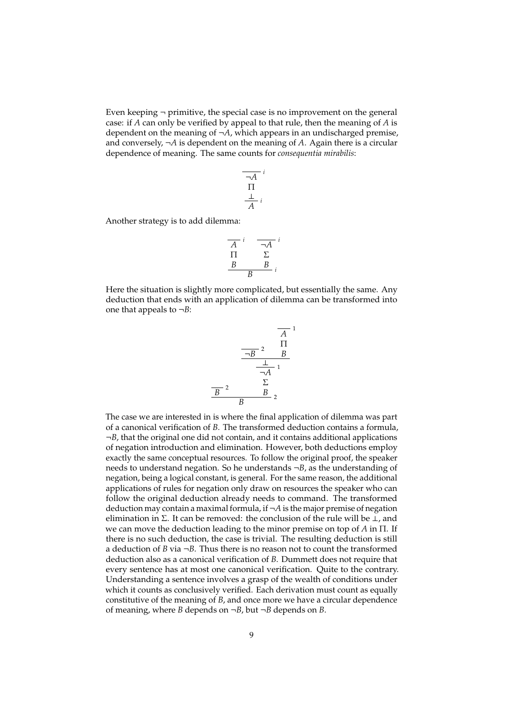Even keeping  $\neg$  primitive, the special case is no improvement on the general case: if *A* can only be verified by appeal to that rule, then the meaning of *A* is dependent on the meaning of  $\neg A$ , which appears in an undischarged premise, and conversely, ¬*A* is dependent on the meaning of *A*. Again there is a circular dependence of meaning. The same counts for *consequentia mirabilis*:

$$
\overline{\mathcal{A}}^{i}
$$

$$
\Pi
$$

$$
\frac{\perp}{A}i
$$

Another strategy is to add dilemma:

$$
\begin{array}{c|cc}\n\hline\n\overline{A} & & \overline{\neg A} & i \\
\hline\n\Pi & & \Sigma \\
B & & B & i \\
\hline\n\end{array}
$$

Here the situation is slightly more complicated, but essentially the same. Any deduction that ends with an application of dilemma can be transformed into one that appeals to ¬*B*:

$$
\frac{\frac{\overline{A}}{\overline{A}}^1}{\frac{\overline{B}^2}{\frac{\underline{A}}{\overline{A}}^1}}
$$
\n
$$
\frac{\frac{\bot}{\overline{A}}^1}{\overline{B}^2}
$$
\n
$$
\frac{\overline{B}}{\overline{B}}^2
$$

The case we are interested in is where the final application of dilemma was part of a canonical verification of *B*. The transformed deduction contains a formula, ¬*B*, that the original one did not contain, and it contains additional applications of negation introduction and elimination. However, both deductions employ exactly the same conceptual resources. To follow the original proof, the speaker needs to understand negation. So he understands ¬*B*, as the understanding of negation, being a logical constant, is general. For the same reason, the additional applications of rules for negation only draw on resources the speaker who can follow the original deduction already needs to command. The transformed deduction may contain a maximal formula, if ¬*A* is the major premise of negation elimination in  $\Sigma$ . It can be removed: the conclusion of the rule will be  $\bot$ , and we can move the deduction leading to the minor premise on top of *A* in Π. If there is no such deduction, the case is trivial. The resulting deduction is still a deduction of *B* via ¬*B*. Thus there is no reason not to count the transformed deduction also as a canonical verification of *B*. Dummett does not require that every sentence has at most one canonical verification. Quite to the contrary. Understanding a sentence involves a grasp of the wealth of conditions under which it counts as conclusively verified. Each derivation must count as equally constitutive of the meaning of *B*, and once more we have a circular dependence of meaning, where *B* depends on ¬*B*, but ¬*B* depends on *B*.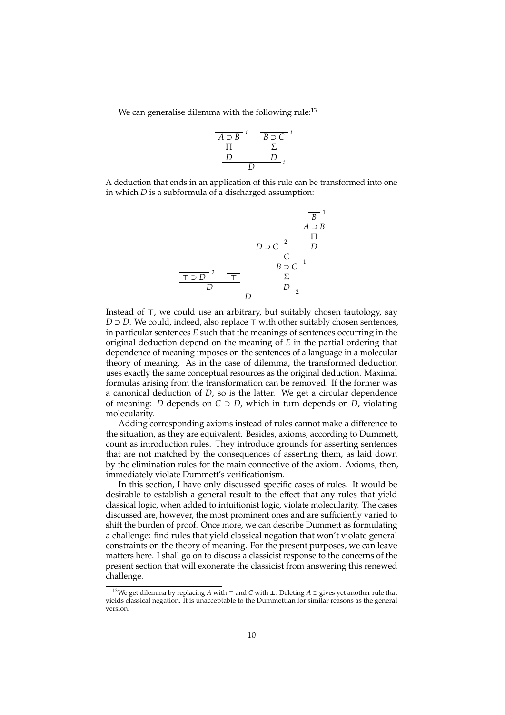We can generalise dilemma with the following rule:<sup>13</sup>

$$
\begin{array}{c|cc}\nA \supset B & B \supset C \\
\Pi & \Sigma \\
D & D \\
\end{array}
$$

*i*

A deduction that ends in an application of this rule can be transformed into one in which *D* is a subformula of a discharged assumption:

$$
\frac{\frac{\overline{B}^1}{A \supset B}}{\frac{D \supset C^2}{B \supset C^1}} \frac{\frac{\overline{B}^1}{\prod_{n=1}^{N} B_n}}{\frac{C}{B \supset C^1}} \frac{\frac{C}{B \supset C^1}}{\frac{\sum_{n=1}^{N} D_n}{D}} \frac{\frac{C}{B \supset C^1}}{\frac{D}{D}} \frac{\frac{C}{B \supset C^1}}{\frac{C}{B \supset C^1}} \frac{\frac{C}{B \supset C^1}}{\frac{C}{B \supset C^1}} \frac{\frac{C}{B \supset C^1}}{\frac{C}{B \supset C^1}} \frac{\frac{C}{B \supset C^1}}{\frac{C}{B \supset C^1}} \frac{\frac{C}{B \supset C^1}}{\frac{C}{B \supset C^1}} \frac{\frac{C}{B \supset C^1}}{\frac{C}{B \supset C^1}} \frac{\frac{C}{B \supset C^1}}{\frac{C}{B \supset C^1}} \frac{\frac{C}{B \supset C^1}}{\frac{C}{B \supset C^1}} \frac{\frac{C}{B \supset C^1}}{\frac{C}{B \supset C^1}} \frac{\frac{C}{B \supset C^1}}{\frac{C}{B \supset C^1}} \frac{\frac{C}{B \supset C^1}}{\frac{C}{B \supset C^1}} \frac{\frac{C}{B \supset C^1}}{\frac{C}{B \supset C^1}} \frac{\frac{C}{B \supset C^1}}{\frac{C}{B \supset C^1}} \frac{\frac{C}{B \supset C^1}}{\frac{C}{B \supset C^1}} \frac{\frac{C}{B \supset C^1}}{\frac{C}{B \supset C^1}} \frac{\frac{C}{B \supset C^1}}{\frac{C}{B \supset C^1}} \frac{\frac{C}{B \supset C^1}}{\frac{C}{B \supset C^1}} \frac{\frac{C}{B \supset C^1}}{\frac{C}{B \supset C^1}} \frac{\frac{C}{B \supset C^1}}{\frac{C}{B \supset C^1}} \frac{\frac{C}{B \supset C^1}}{\frac{C}{B \supset C^1}} \frac{\frac{C}{B \supset C^1}}{\frac{C}{B \supset C^1}} \frac{\frac{C}{B \supset C^1}}{\frac{C}{B \supset C^1}} \frac{\frac{C}{B \supset C^
$$

Instead of  $\top$ , we could use an arbitrary, but suitably chosen tautology, say *D* ⊃ *D*. We could, indeed, also replace  $\top$  with other suitably chosen sentences, in particular sentences *E* such that the meanings of sentences occurring in the original deduction depend on the meaning of *E* in the partial ordering that dependence of meaning imposes on the sentences of a language in a molecular theory of meaning. As in the case of dilemma, the transformed deduction uses exactly the same conceptual resources as the original deduction. Maximal formulas arising from the transformation can be removed. If the former was a canonical deduction of *D*, so is the latter. We get a circular dependence of meaning: *D* depends on *C* ⊃ *D*, which in turn depends on *D*, violating molecularity.

Adding corresponding axioms instead of rules cannot make a difference to the situation, as they are equivalent. Besides, axioms, according to Dummett, count as introduction rules. They introduce grounds for asserting sentences that are not matched by the consequences of asserting them, as laid down by the elimination rules for the main connective of the axiom. Axioms, then, immediately violate Dummett's verificationism.

In this section, I have only discussed specific cases of rules. It would be desirable to establish a general result to the effect that any rules that yield classical logic, when added to intuitionist logic, violate molecularity. The cases discussed are, however, the most prominent ones and are sufficiently varied to shift the burden of proof. Once more, we can describe Dummett as formulating a challenge: find rules that yield classical negation that won't violate general constraints on the theory of meaning. For the present purposes, we can leave matters here. I shall go on to discuss a classicist response to the concerns of the present section that will exonerate the classicist from answering this renewed challenge.

<sup>&</sup>lt;sup>13</sup>We get dilemma by replacing *A* with ⊤ and *C* with ⊥. Deleting *A* ⊃ gives yet another rule that yields classical negation. It is unacceptable to the Dummettian for similar reasons as the general version.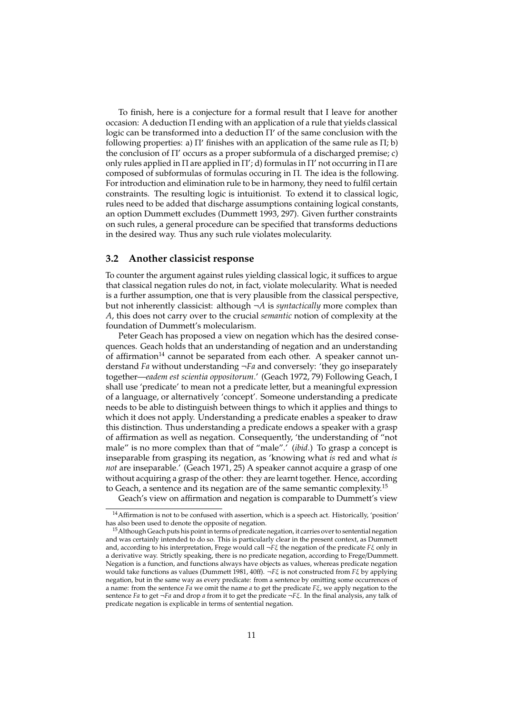To finish, here is a conjecture for a formal result that I leave for another occasion: A deduction Π ending with an application of a rule that yields classical logic can be transformed into a deduction  $\Pi'$  of the same conclusion with the following properties: a)  $\Pi'$  finishes with an application of the same rule as  $\Pi$ ; b) the conclusion of  $\Pi'$  occurs as a proper subformula of a discharged premise; c) only rules applied in  $\Pi$  are applied in  $\Pi'$ ; d) formulas in  $\Pi'$  not occurring in  $\Pi$  are composed of subformulas of formulas occuring in  $\Pi$ . The idea is the following. For introduction and elimination rule to be in harmony, they need to fulfil certain constraints. The resulting logic is intuitionist. To extend it to classical logic, rules need to be added that discharge assumptions containing logical constants, an option Dummett excludes (Dummett 1993, 297). Given further constraints on such rules, a general procedure can be specified that transforms deductions in the desired way. Thus any such rule violates molecularity.

### **3.2 Another classicist response**

To counter the argument against rules yielding classical logic, it suffices to argue that classical negation rules do not, in fact, violate molecularity. What is needed is a further assumption, one that is very plausible from the classical perspective, but not inherently classicist: although ¬*A* is *syntactically* more complex than *A*, this does not carry over to the crucial *semantic* notion of complexity at the foundation of Dummett's molecularism.

Peter Geach has proposed a view on negation which has the desired consequences. Geach holds that an understanding of negation and an understanding of affirmation $14$  cannot be separated from each other. A speaker cannot understand *Fa* without understanding ¬*Fa* and conversely: 'they go inseparately together—*eadem est scientia oppositorum*.' (Geach 1972, 79) Following Geach, I shall use 'predicate' to mean not a predicate letter, but a meaningful expression of a language, or alternatively 'concept'. Someone understanding a predicate needs to be able to distinguish between things to which it applies and things to which it does not apply. Understanding a predicate enables a speaker to draw this distinction. Thus understanding a predicate endows a speaker with a grasp of affirmation as well as negation. Consequently, 'the understanding of "not male" is no more complex than that of "male".' (*ibid.*) To grasp a concept is inseparable from grasping its negation, as 'knowing what *is* red and what *is not* are inseparable.' (Geach 1971, 25) A speaker cannot acquire a grasp of one without acquiring a grasp of the other: they are learnt together. Hence, according to Geach, a sentence and its negation are of the same semantic complexity.<sup>15</sup>

Geach's view on affirmation and negation is comparable to Dummett's view

<sup>&</sup>lt;sup>14</sup> Affirmation is not to be confused with assertion, which is a speech act. Historically, 'position' has also been used to denote the opposite of negation.

<sup>15</sup>Although Geach puts his point in terms of predicate negation, it carries over to sentential negation and was certainly intended to do so. This is particularly clear in the present context, as Dummett and, according to his interpretation, Frege would call ¬*F*ξ the negation of the predicate *F*ξ only in a derivative way. Strictly speaking, there is no predicate negation, according to Frege/Dummett. Negation is a function, and functions always have objects as values, whereas predicate negation would take functions as values (Dummett 1981, 40ff). ¬*F*ξ is not constructed from *F*ξ by applying negation, but in the same way as every predicate: from a sentence by omitting some occurrences of a name: from the sentence *Fa* we omit the name *a* to get the predicate *F*ξ, we apply negation to the sentence *Fa* to get ¬*Fa* and drop *a* from it to get the predicate ¬*F*ξ. In the final analysis, any talk of predicate negation is explicable in terms of sentential negation.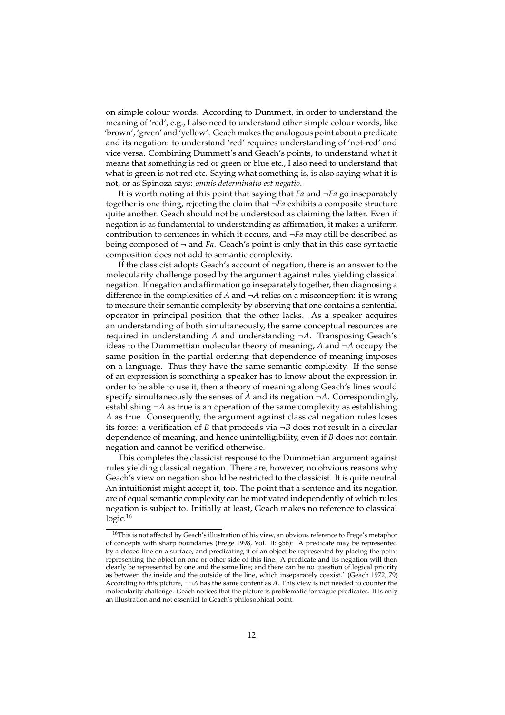on simple colour words. According to Dummett, in order to understand the meaning of 'red', e.g., I also need to understand other simple colour words, like 'brown', 'green' and 'yellow'. Geach makes the analogous point about a predicate and its negation: to understand 'red' requires understanding of 'not-red' and vice versa. Combining Dummett's and Geach's points, to understand what it means that something is red or green or blue etc., I also need to understand that what is green is not red etc. Saying what something is, is also saying what it is not, or as Spinoza says: *omnis determinatio est negatio*.

It is worth noting at this point that saying that *Fa* and ¬*Fa* go inseparately together is one thing, rejecting the claim that ¬*Fa* exhibits a composite structure quite another. Geach should not be understood as claiming the latter. Even if negation is as fundamental to understanding as affirmation, it makes a uniform contribution to sentences in which it occurs, and ¬*Fa* may still be described as being composed of ¬ and *Fa*. Geach's point is only that in this case syntactic composition does not add to semantic complexity.

If the classicist adopts Geach's account of negation, there is an answer to the molecularity challenge posed by the argument against rules yielding classical negation. If negation and affirmation go inseparately together, then diagnosing a difference in the complexities of  $A$  and  $\neg A$  relies on a misconception: it is wrong to measure their semantic complexity by observing that one contains a sentential operator in principal position that the other lacks. As a speaker acquires an understanding of both simultaneously, the same conceptual resources are required in understanding *A* and understanding ¬*A*. Transposing Geach's ideas to the Dummettian molecular theory of meaning, *A* and ¬*A* occupy the same position in the partial ordering that dependence of meaning imposes on a language. Thus they have the same semantic complexity. If the sense of an expression is something a speaker has to know about the expression in order to be able to use it, then a theory of meaning along Geach's lines would specify simultaneously the senses of *A* and its negation ¬*A*. Correspondingly, establishing ¬*A* as true is an operation of the same complexity as establishing *A* as true. Consequently, the argument against classical negation rules loses its force: a verification of *B* that proceeds via ¬*B* does not result in a circular dependence of meaning, and hence unintelligibility, even if *B* does not contain negation and cannot be verified otherwise.

This completes the classicist response to the Dummettian argument against rules yielding classical negation. There are, however, no obvious reasons why Geach's view on negation should be restricted to the classicist. It is quite neutral. An intuitionist might accept it, too. The point that a sentence and its negation are of equal semantic complexity can be motivated independently of which rules negation is subject to. Initially at least, Geach makes no reference to classical logic.<sup>16</sup>

<sup>16</sup>This is not affected by Geach's illustration of his view, an obvious reference to Frege's metaphor of concepts with sharp boundaries (Frege 1998, Vol. II: §56): 'A predicate may be represented by a closed line on a surface, and predicating it of an object be represented by placing the point representing the object on one or other side of this line. A predicate and its negation will then clearly be represented by one and the same line; and there can be no question of logical priority as between the inside and the outside of the line, which inseparately coexist.' (Geach 1972, 79) According to this picture, ¬¬*A* has the same content as *A*. This view is not needed to counter the molecularity challenge. Geach notices that the picture is problematic for vague predicates. It is only an illustration and not essential to Geach's philosophical point.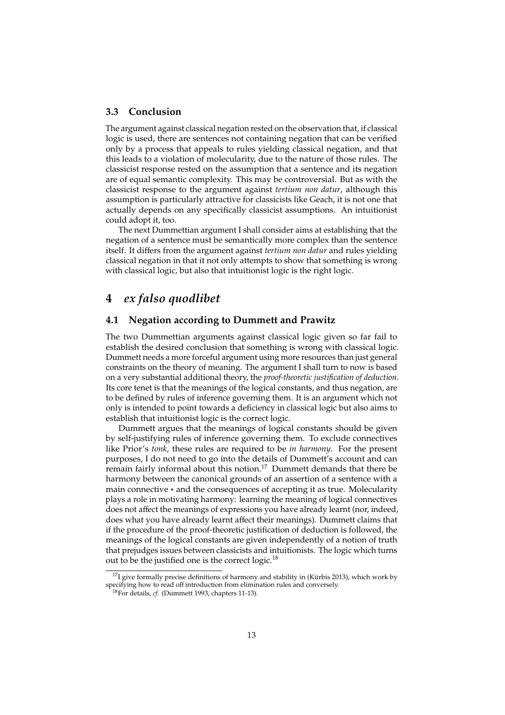#### **3.3 Conclusion**

The argument against classical negation rested on the observation that, if classical logic is used, there are sentences not containing negation that can be verified only by a process that appeals to rules yielding classical negation, and that this leads to a violation of molecularity, due to the nature of those rules. The classicist response rested on the assumption that a sentence and its negation are of equal semantic complexity. This may be controversial. But as with the classicist response to the argument against *tertium non datur*, although this assumption is particularly attractive for classicists like Geach, it is not one that actually depends on any specifically classicist assumptions. An intuitionist could adopt it, too.

The next Dummettian argument I shall consider aims at establishing that the negation of a sentence must be semantically more complex than the sentence itself. It differs from the argument against *tertium non datur* and rules yielding classical negation in that it not only attempts to show that something is wrong with classical logic, but also that intuitionist logic is the right logic.

## **4** *ex falso quodlibet*

### **4.1 Negation according to Dummett and Prawitz**

The two Dummettian arguments against classical logic given so far fail to establish the desired conclusion that something is wrong with classical logic. Dummett needs a more forceful argument using more resources than just general constraints on the theory of meaning. The argument I shall turn to now is based on a very substantial additional theory, the *proof-theoretic justification of deduction*. Its core tenet is that the meanings of the logical constants, and thus negation, are to be defined by rules of inference governing them. It is an argument which not only is intended to point towards a deficiency in classical logic but also aims to establish that intuitionist logic is the correct logic.

Dummett argues that the meanings of logical constants should be given by self-justifying rules of inference governing them. To exclude connectives like Prior's *tonk*, these rules are required to be *in harmony*. For the present purposes, I do not need to go into the details of Dummett's account and can remain fairly informal about this notion.<sup>17</sup> Dummett demands that there be harmony between the canonical grounds of an assertion of a sentence with a main connective ∗ and the consequences of accepting it as true. Molecularity plays a role in motivating harmony: learning the meaning of logical connectives does not affect the meanings of expressions you have already learnt (nor, indeed, does what you have already learnt affect their meanings). Dummett claims that if the procedure of the proof-theoretic justification of deduction is followed, the meanings of the logical constants are given independently of a notion of truth that prejudges issues between classicists and intuitionists. The logic which turns out to be the justified one is the correct logic.<sup>18</sup>

 $^{17}$ I give formally precise definitions of harmony and stability in (Kürbis 2013), which work by specifying how to read off introduction from elimination rules and conversely.

<sup>18</sup>For details, *cf.* (Dummett 1993, chapters 11-13).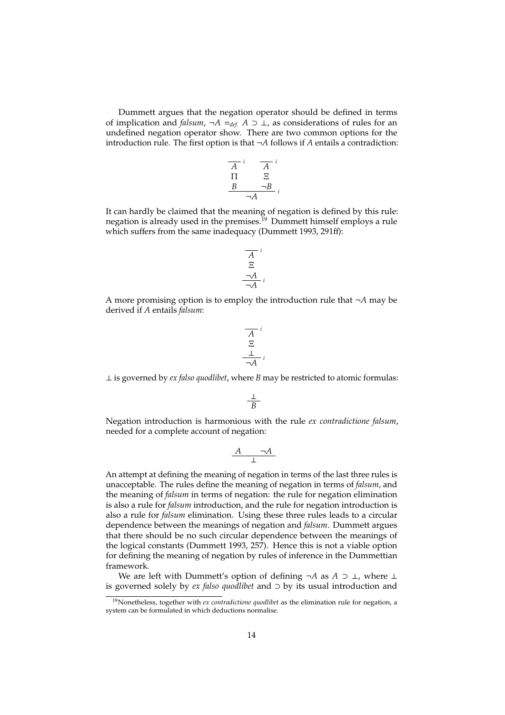Dummett argues that the negation operator should be defined in terms of implication and *falsum*, ¬*A* =*def. A* ⊃ ⊥, as considerations of rules for an undefined negation operator show. There are two common options for the introduction rule. The first option is that ¬*A* follows if *A* entails a contradiction:

$$
\begin{array}{c|cc}\n\overline{A} & \overline{A} & \overline{A} \\
\overline{\Pi} & \Xi & \\
\hline\nB & \neg B & \\
\hline\n\end{array}
$$

It can hardly be claimed that the meaning of negation is defined by this rule: negation is already used in the premises.<sup>19</sup> Dummett himself employs a rule which suffers from the same inadequacy (Dummett 1993, 291ff):

$$
\frac{A}{\Xi}^{i}
$$

$$
\frac{\Xi}{\Box A}^{i}
$$

$$
\frac{\Box A}{\Box A}^{i}
$$

A more promising option is to employ the introduction rule that ¬*A* may be derived if *A* entails *falsum*:

$$
\frac{A}{\Xi}^{i}
$$

$$
\frac{\Xi}{\neg A}^{i}
$$

⊥ is governed by *ex falso quodlibet*, where *B* may be restricted to atomic formulas:

$$
\frac{\bot}{B}
$$

Negation introduction is harmonious with the rule *ex contradictione falsum*, needed for a complete account of negation:

$$
\begin{array}{c|c} A & \neg A \\ \hline \bot \end{array}
$$

An attempt at defining the meaning of negation in terms of the last three rules is unacceptable. The rules define the meaning of negation in terms of *falsum*, and the meaning of *falsum* in terms of negation: the rule for negation elimination is also a rule for *falsum* introduction, and the rule for negation introduction is also a rule for *falsum* elimination. Using these three rules leads to a circular dependence between the meanings of negation and *falsum*. Dummett argues that there should be no such circular dependence between the meanings of the logical constants (Dummett 1993, 257). Hence this is not a viable option for defining the meaning of negation by rules of inference in the Dummettian framework.

We are left with Dummett's option of defining ¬*A* as *A* ⊃ ⊥, where ⊥ is governed solely by *ex falso quodlibet* and ⊃ by its usual introduction and

<sup>19</sup>Nonetheless, together with *ex contradictione quodlibet* as the elimination rule for negation, a system can be formulated in which deductions normalise.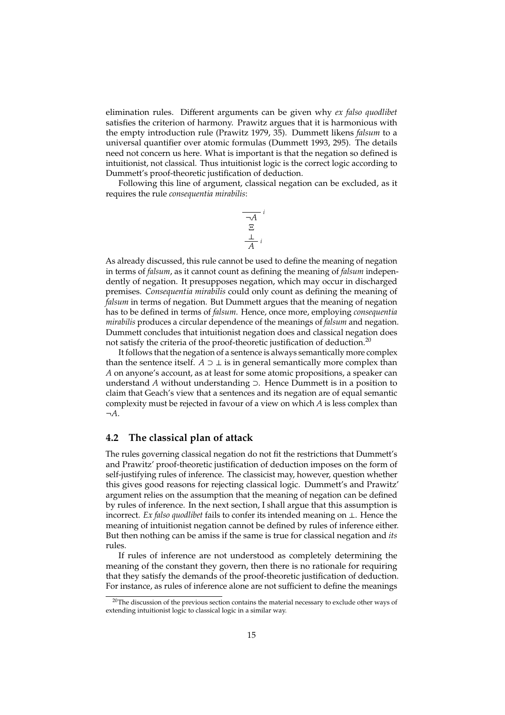elimination rules. Different arguments can be given why *ex falso quodlibet* satisfies the criterion of harmony. Prawitz argues that it is harmonious with the empty introduction rule (Prawitz 1979, 35). Dummett likens *falsum* to a universal quantifier over atomic formulas (Dummett 1993, 295). The details need not concern us here. What is important is that the negation so defined is intuitionist, not classical. Thus intuitionist logic is the correct logic according to Dummett's proof-theoretic justification of deduction.

Following this line of argument, classical negation can be excluded, as it requires the rule *consequentia mirabilis*:



As already discussed, this rule cannot be used to define the meaning of negation in terms of *falsum*, as it cannot count as defining the meaning of *falsum* independently of negation. It presupposes negation, which may occur in discharged premises. *Consequentia mirabilis* could only count as defining the meaning of *falsum* in terms of negation. But Dummett argues that the meaning of negation has to be defined in terms of *falsum*. Hence, once more, employing *consequentia mirabilis* produces a circular dependence of the meanings of *falsum* and negation. Dummett concludes that intuitionist negation does and classical negation does not satisfy the criteria of the proof-theoretic justification of deduction.<sup>20</sup>

It follows that the negation of a sentence is always semantically more complex than the sentence itself.  $A \supset \bot$  is in general semantically more complex than *A* on anyone's account, as at least for some atomic propositions, a speaker can understand *A* without understanding ⊃. Hence Dummett is in a position to claim that Geach's view that a sentences and its negation are of equal semantic complexity must be rejected in favour of a view on which *A* is less complex than ¬*A*.

### **4.2 The classical plan of attack**

The rules governing classical negation do not fit the restrictions that Dummett's and Prawitz' proof-theoretic justification of deduction imposes on the form of self-justifying rules of inference. The classicist may, however, question whether this gives good reasons for rejecting classical logic. Dummett's and Prawitz' argument relies on the assumption that the meaning of negation can be defined by rules of inference. In the next section, I shall argue that this assumption is incorrect. *Ex falso quodlibet* fails to confer its intended meaning on ⊥. Hence the meaning of intuitionist negation cannot be defined by rules of inference either. But then nothing can be amiss if the same is true for classical negation and *its* rules.

If rules of inference are not understood as completely determining the meaning of the constant they govern, then there is no rationale for requiring that they satisfy the demands of the proof-theoretic justification of deduction. For instance, as rules of inference alone are not sufficient to define the meanings

<sup>&</sup>lt;sup>20</sup>The discussion of the previous section contains the material necessary to exclude other ways of extending intuitionist logic to classical logic in a similar way.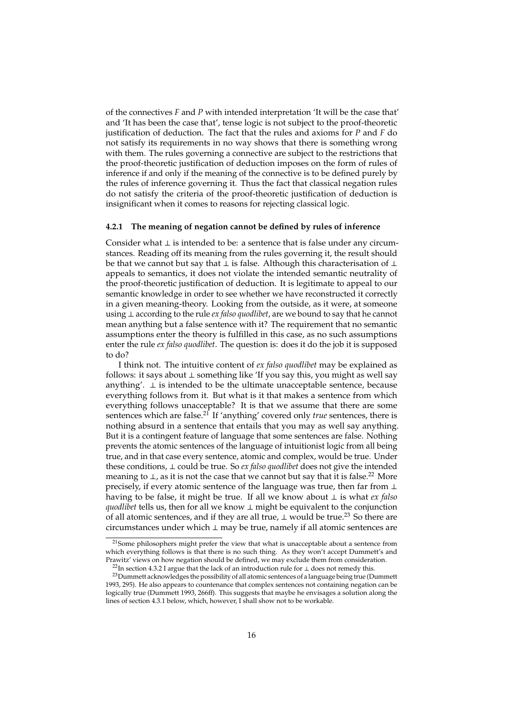of the connectives *F* and *P* with intended interpretation 'It will be the case that' and 'It has been the case that', tense logic is not subject to the proof-theoretic justification of deduction. The fact that the rules and axioms for *P* and *F* do not satisfy its requirements in no way shows that there is something wrong with them. The rules governing a connective are subject to the restrictions that the proof-theoretic justification of deduction imposes on the form of rules of inference if and only if the meaning of the connective is to be defined purely by the rules of inference governing it. Thus the fact that classical negation rules do not satisfy the criteria of the proof-theoretic justification of deduction is insignificant when it comes to reasons for rejecting classical logic.

### **4.2.1 The meaning of negation cannot be defined by rules of inference**

Consider what ⊥ is intended to be: a sentence that is false under any circumstances. Reading off its meaning from the rules governing it, the result should be that we cannot but say that ⊥ is false. Although this characterisation of ⊥ appeals to semantics, it does not violate the intended semantic neutrality of the proof-theoretic justification of deduction. It is legitimate to appeal to our semantic knowledge in order to see whether we have reconstructed it correctly in a given meaning-theory. Looking from the outside, as it were, at someone using ⊥ according to the rule *ex falso quodlibet*, are we bound to say that he cannot mean anything but a false sentence with it? The requirement that no semantic assumptions enter the theory is fulfilled in this case, as no such assumptions enter the rule *ex falso quodlibet*. The question is: does it do the job it is supposed to do?

I think not. The intuitive content of *ex falso quodlibet* may be explained as follows: it says about ⊥ something like 'If you say this, you might as well say anything'.  $\perp$  is intended to be the ultimate unacceptable sentence, because everything follows from it. But what is it that makes a sentence from which everything follows unacceptable? It is that we assume that there are some sentences which are false.<sup>21</sup> If 'anything' covered only *true* sentences, there is nothing absurd in a sentence that entails that you may as well say anything. But it is a contingent feature of language that some sentences are false. Nothing prevents the atomic sentences of the language of intuitionist logic from all being true, and in that case every sentence, atomic and complex, would be true. Under these conditions, ⊥ could be true. So *ex falso quodlibet* does not give the intended meaning to  $\perp$ , as it is not the case that we cannot but say that it is false.<sup>22</sup> More precisely, if every atomic sentence of the language was true, then far from ⊥ having to be false, it might be true. If all we know about ⊥ is what *ex falso quodlibet* tells us, then for all we know ⊥ might be equivalent to the conjunction of all atomic sentences, and if they are all true,  $\perp$  would be true.<sup>23</sup> So there are circumstances under which ⊥ may be true, namely if all atomic sentences are

 $21$ Some philosophers might prefer the view that what is unacceptable about a sentence from which everything follows is that there is no such thing. As they won't accept Dummett's and Prawitz' views on how negation should be defined, we may exclude them from consideration.

<sup>&</sup>lt;sup>22</sup>In section 4.3.2 I argue that the lack of an introduction rule for  $\perp$  does not remedy this.

<sup>23</sup>Dummett acknowledges the possibility of all atomic sentences of a language being true (Dummett 1993, 295). He also appears to countenance that complex sentences not containing negation can be logically true (Dummett 1993, 266ff). This suggests that maybe he envisages a solution along the lines of section 4.3.1 below, which, however, I shall show not to be workable.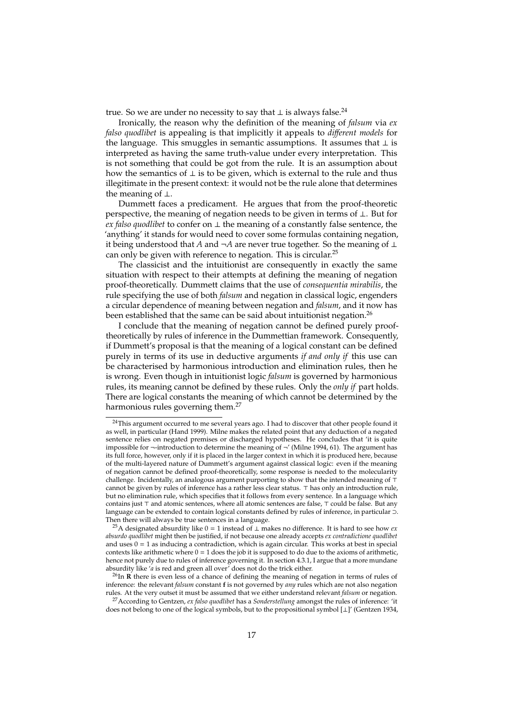true. So we are under no necessity to say that  $⊥$  is always false.<sup>24</sup>

Ironically, the reason why the definition of the meaning of *falsum* via *ex falso quodlibet* is appealing is that implicitly it appeals to *di*ff*erent models* for the language. This smuggles in semantic assumptions. It assumes that ⊥ is interpreted as having the same truth-value under every interpretation. This is not something that could be got from the rule. It is an assumption about how the semantics of  $\perp$  is to be given, which is external to the rule and thus illegitimate in the present context: it would not be the rule alone that determines the meaning of ⊥.

Dummett faces a predicament. He argues that from the proof-theoretic perspective, the meaning of negation needs to be given in terms of ⊥. But for *ex falso quodlibet* to confer on ⊥ the meaning of a constantly false sentence, the 'anything' it stands for would need to cover some formulas containing negation, it being understood that *A* and ¬*A* are never true together. So the meaning of ⊥ can only be given with reference to negation. This is circular.<sup>25</sup>

The classicist and the intuitionist are consequently in exactly the same situation with respect to their attempts at defining the meaning of negation proof-theoretically. Dummett claims that the use of *consequentia mirabilis*, the rule specifying the use of both *falsum* and negation in classical logic, engenders a circular dependence of meaning between negation and *falsum*, and it now has been established that the same can be said about intuitionist negation.<sup>26</sup>

I conclude that the meaning of negation cannot be defined purely prooftheoretically by rules of inference in the Dummettian framework. Consequently, if Dummett's proposal is that the meaning of a logical constant can be defined purely in terms of its use in deductive arguments *if and only if* this use can be characterised by harmonious introduction and elimination rules, then he is wrong. Even though in intuitionist logic *falsum* is governed by harmonious rules, its meaning cannot be defined by these rules. Only the *only if* part holds. There are logical constants the meaning of which cannot be determined by the harmonious rules governing them.<sup>27</sup>

 $24$ This argument occurred to me several years ago. I had to discover that other people found it as well, in particular (Hand 1999). Milne makes the related point that any deduction of a negated sentence relies on negated premises or discharged hypotheses. He concludes that 'it is quite impossible for  $\neg$ -introduction to determine the meaning of  $\neg'$  (Milne 1994, 61). The argument has its full force, however, only if it is placed in the larger context in which it is produced here, because of the multi-layered nature of Dummett's argument against classical logic: even if the meaning of negation cannot be defined proof-theoretically, some response is needed to the molecularity challenge. Incidentally, an analogous argument purporting to show that the intended meaning of  $\tau$ cannot be given by rules of inference has a rather less clear status.  $\top$  has only an introduction rule, but no elimination rule, which specifies that it follows from every sentence. In a language which contains just  $\top$  and atomic sentences, where all atomic sentences are false,  $\top$  could be false. But any language can be extended to contain logical constants defined by rules of inference, in particular ⊃. Then there will always be true sentences in a language.

<sup>25</sup>A designated absurdity like 0 = 1 instead of ⊥ makes no difference. It is hard to see how *ex absurdo quodlibet* might then be justified, if not because one already accepts *ex contradictione quodlibet* and uses  $0 = 1$  as inducing a contradiction, which is again circular. This works at best in special contexts like arithmetic where  $0 = 1$  does the job it is supposed to do due to the axioms of arithmetic, hence not purely due to rules of inference governing it. In section 4.3.1, I argue that a more mundane absurdity like '*a* is red and green all over' does not do the trick either.

<sup>26</sup>In **R** there is even less of a chance of defining the meaning of negation in terms of rules of inference: the relevant *falsum* constant **f** is not governed by *any* rules which are not also negation rules. At the very outset it must be assumed that we either understand relevant *falsum* or negation.

<sup>27</sup>According to Gentzen, *ex falso quodlibet* has a *Sonderstellung* amongst the rules of inference: 'it does not belong to one of the logical symbols, but to the propositional symbol [⊥]' (Gentzen 1934,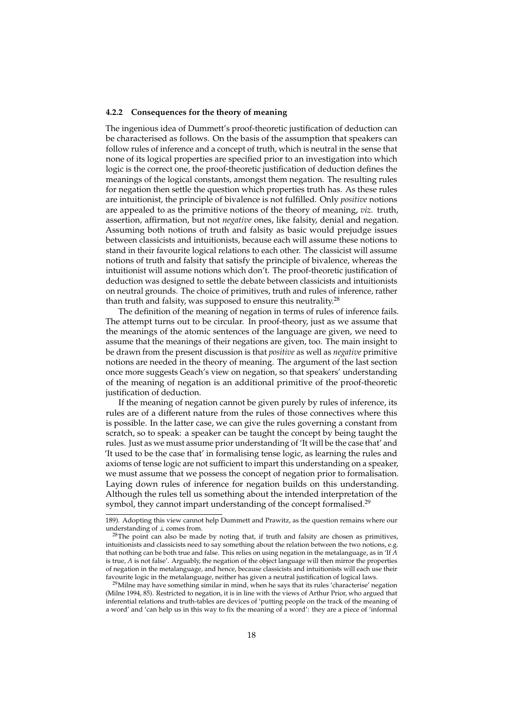#### **4.2.2 Consequences for the theory of meaning**

The ingenious idea of Dummett's proof-theoretic justification of deduction can be characterised as follows. On the basis of the assumption that speakers can follow rules of inference and a concept of truth, which is neutral in the sense that none of its logical properties are specified prior to an investigation into which logic is the correct one, the proof-theoretic justification of deduction defines the meanings of the logical constants, amongst them negation. The resulting rules for negation then settle the question which properties truth has. As these rules are intuitionist, the principle of bivalence is not fulfilled. Only *positive* notions are appealed to as the primitive notions of the theory of meaning, *viz.* truth, assertion, affirmation, but not *negative* ones, like falsity, denial and negation. Assuming both notions of truth and falsity as basic would prejudge issues between classicists and intuitionists, because each will assume these notions to stand in their favourite logical relations to each other. The classicist will assume notions of truth and falsity that satisfy the principle of bivalence, whereas the intuitionist will assume notions which don't. The proof-theoretic justification of deduction was designed to settle the debate between classicists and intuitionists on neutral grounds. The choice of primitives, truth and rules of inference, rather than truth and falsity, was supposed to ensure this neutrality.<sup>28</sup>

The definition of the meaning of negation in terms of rules of inference fails. The attempt turns out to be circular. In proof-theory, just as we assume that the meanings of the atomic sentences of the language are given, we need to assume that the meanings of their negations are given, too. The main insight to be drawn from the present discussion is that *positive* as well as *negative* primitive notions are needed in the theory of meaning. The argument of the last section once more suggests Geach's view on negation, so that speakers' understanding of the meaning of negation is an additional primitive of the proof-theoretic justification of deduction.

If the meaning of negation cannot be given purely by rules of inference, its rules are of a different nature from the rules of those connectives where this is possible. In the latter case, we can give the rules governing a constant from scratch, so to speak: a speaker can be taught the concept by being taught the rules. Just as we must assume prior understanding of 'It will be the case that' and 'It used to be the case that' in formalising tense logic, as learning the rules and axioms of tense logic are not sufficient to impart this understanding on a speaker, we must assume that we possess the concept of negation prior to formalisation. Laying down rules of inference for negation builds on this understanding. Although the rules tell us something about the intended interpretation of the symbol, they cannot impart understanding of the concept formalised.<sup>29</sup>

<sup>189).</sup> Adopting this view cannot help Dummett and Prawitz, as the question remains where our understanding of ⊥ comes from.

<sup>&</sup>lt;sup>28</sup>The point can also be made by noting that, if truth and falsity are chosen as primitives, intuitionists and classicists need to say something about the relation between the two notions, e.g. that nothing can be both true and false. This relies on using negation in the metalanguage, as in 'If *A* is true, *A* is not false'. Arguably, the negation of the object language will then mirror the properties of negation in the metalanguage, and hence, because classicists and intuitionists will each use their favourite logic in the metalanguage, neither has given a neutral justification of logical laws.

 $^{29}$ Milne may have something similar in mind, when he says that its rules 'characterise' negation (Milne 1994, 85). Restricted to negation, it is in line with the views of Arthur Prior, who argued that inferential relations and truth-tables are devices of 'putting people on the track of the meaning of a word' and 'can help us in this way to fix the meaning of a word': they are a piece of 'informal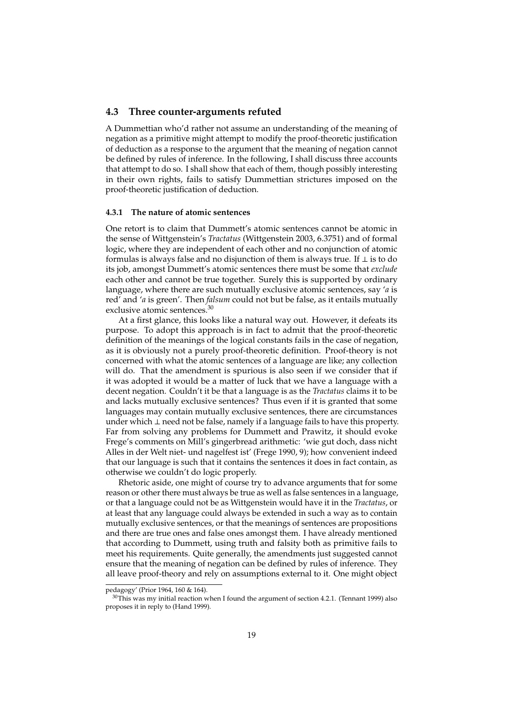#### **4.3 Three counter-arguments refuted**

A Dummettian who'd rather not assume an understanding of the meaning of negation as a primitive might attempt to modify the proof-theoretic justification of deduction as a response to the argument that the meaning of negation cannot be defined by rules of inference. In the following, I shall discuss three accounts that attempt to do so. I shall show that each of them, though possibly interesting in their own rights, fails to satisfy Dummettian strictures imposed on the proof-theoretic justification of deduction.

#### **4.3.1 The nature of atomic sentences**

One retort is to claim that Dummett's atomic sentences cannot be atomic in the sense of Wittgenstein's *Tractatus* (Wittgenstein 2003, 6.3751) and of formal logic, where they are independent of each other and no conjunction of atomic formulas is always false and no disjunction of them is always true. If  $\perp$  is to do its job, amongst Dummett's atomic sentences there must be some that *exclude* each other and cannot be true together. Surely this is supported by ordinary language, where there are such mutually exclusive atomic sentences, say '*a* is red' and '*a* is green'. Then *falsum* could not but be false, as it entails mutually exclusive atomic sentences.<sup>30</sup>

At a first glance, this looks like a natural way out. However, it defeats its purpose. To adopt this approach is in fact to admit that the proof-theoretic definition of the meanings of the logical constants fails in the case of negation, as it is obviously not a purely proof-theoretic definition. Proof-theory is not concerned with what the atomic sentences of a language are like; any collection will do. That the amendment is spurious is also seen if we consider that if it was adopted it would be a matter of luck that we have a language with a decent negation. Couldn't it be that a language is as the *Tractatus* claims it to be and lacks mutually exclusive sentences? Thus even if it is granted that some languages may contain mutually exclusive sentences, there are circumstances under which ⊥ need not be false, namely if a language fails to have this property. Far from solving any problems for Dummett and Prawitz, it should evoke Frege's comments on Mill's gingerbread arithmetic: 'wie gut doch, dass nicht Alles in der Welt niet- und nagelfest ist' (Frege 1990, 9); how convenient indeed that our language is such that it contains the sentences it does in fact contain, as otherwise we couldn't do logic properly.

Rhetoric aside, one might of course try to advance arguments that for some reason or other there must always be true as well as false sentences in a language, or that a language could not be as Wittgenstein would have it in the *Tractatus*, or at least that any language could always be extended in such a way as to contain mutually exclusive sentences, or that the meanings of sentences are propositions and there are true ones and false ones amongst them. I have already mentioned that according to Dummett, using truth and falsity both as primitive fails to meet his requirements. Quite generally, the amendments just suggested cannot ensure that the meaning of negation can be defined by rules of inference. They all leave proof-theory and rely on assumptions external to it. One might object

pedagogy' (Prior 1964, 160 & 164).

 $30$ This was my initial reaction when I found the argument of section 4.2.1. (Tennant 1999) also proposes it in reply to (Hand 1999).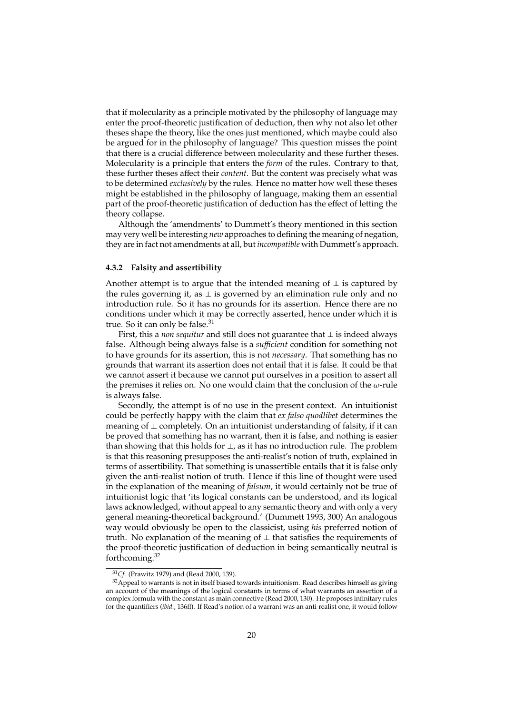that if molecularity as a principle motivated by the philosophy of language may enter the proof-theoretic justification of deduction, then why not also let other theses shape the theory, like the ones just mentioned, which maybe could also be argued for in the philosophy of language? This question misses the point that there is a crucial difference between molecularity and these further theses. Molecularity is a principle that enters the *form* of the rules. Contrary to that, these further theses affect their *content*. But the content was precisely what was to be determined *exclusively* by the rules. Hence no matter how well these theses might be established in the philosophy of language, making them an essential part of the proof-theoretic justification of deduction has the effect of letting the theory collapse.

Although the 'amendments' to Dummett's theory mentioned in this section may very well be interesting *new* approaches to defining the meaning of negation, they are in fact not amendments at all, but *incompatible* with Dummett's approach.

#### **4.3.2 Falsity and assertibility**

Another attempt is to argue that the intended meaning of  $\perp$  is captured by the rules governing it, as  $\perp$  is governed by an elimination rule only and no introduction rule. So it has no grounds for its assertion. Hence there are no conditions under which it may be correctly asserted, hence under which it is true. So it can only be false.<sup>31</sup>

First, this a *non sequitur* and still does not guarantee that ⊥ is indeed always false. Although being always false is a *su*ffi*cient* condition for something not to have grounds for its assertion, this is not *necessary*. That something has no grounds that warrant its assertion does not entail that it is false. It could be that we cannot assert it because we cannot put ourselves in a position to assert all the premises it relies on. No one would claim that the conclusion of the  $\omega$ -rule is always false.

Secondly, the attempt is of no use in the present context. An intuitionist could be perfectly happy with the claim that *ex falso quodlibet* determines the meaning of ⊥ completely. On an intuitionist understanding of falsity, if it can be proved that something has no warrant, then it is false, and nothing is easier than showing that this holds for ⊥, as it has no introduction rule. The problem is that this reasoning presupposes the anti-realist's notion of truth, explained in terms of assertibility. That something is unassertible entails that it is false only given the anti-realist notion of truth. Hence if this line of thought were used in the explanation of the meaning of *falsum*, it would certainly not be true of intuitionist logic that 'its logical constants can be understood, and its logical laws acknowledged, without appeal to any semantic theory and with only a very general meaning-theoretical background.' (Dummett 1993, 300) An analogous way would obviously be open to the classicist, using *his* preferred notion of truth. No explanation of the meaning of ⊥ that satisfies the requirements of the proof-theoretic justification of deduction in being semantically neutral is forthcoming.<sup>32</sup>

<sup>31</sup>*Cf.* (Prawitz 1979) and (Read 2000, 139).

 $32\,$  Appeal to warrants is not in itself biased towards intuitionism. Read describes himself as giving an account of the meanings of the logical constants in terms of what warrants an assertion of a complex formula with the constant as main connective (Read 2000, 130). He proposes infinitary rules for the quantifiers (*ibid.*, 136ff). If Read's notion of a warrant was an anti-realist one, it would follow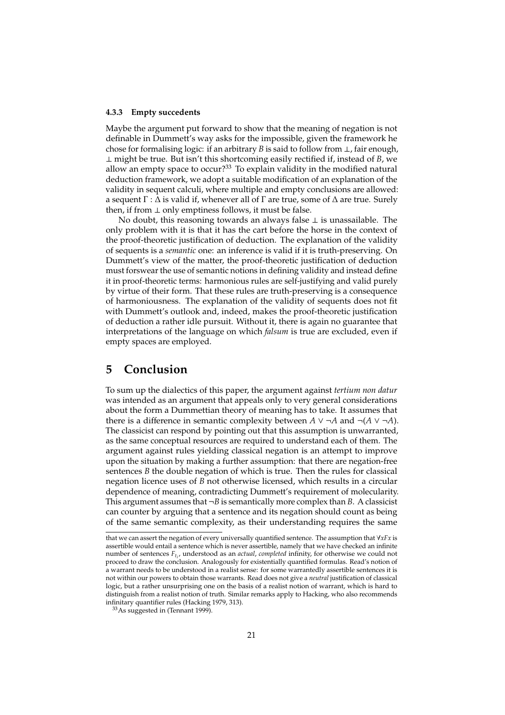#### **4.3.3 Empty succedents**

Maybe the argument put forward to show that the meaning of negation is not definable in Dummett's way asks for the impossible, given the framework he chose for formalising logic: if an arbitrary *B* is said to follow from  $\perp$ , fair enough, ⊥ might be true. But isn't this shortcoming easily rectified if, instead of *B*, we allow an empty space to occur? $33$  To explain validity in the modified natural deduction framework, we adopt a suitable modification of an explanation of the validity in sequent calculi, where multiple and empty conclusions are allowed: a sequent  $\Gamma$  :  $\Delta$  is valid if, whenever all of  $\Gamma$  are true, some of  $\Delta$  are true. Surely then, if from  $\perp$  only emptiness follows, it must be false.

No doubt, this reasoning towards an always false ⊥ is unassailable. The only problem with it is that it has the cart before the horse in the context of the proof-theoretic justification of deduction. The explanation of the validity of sequents is a *semantic* one: an inference is valid if it is truth-preserving. On Dummett's view of the matter, the proof-theoretic justification of deduction must forswear the use of semantic notions in defining validity and instead define it in proof-theoretic terms: harmonious rules are self-justifying and valid purely by virtue of their form. That these rules are truth-preserving is a consequence of harmoniousness. The explanation of the validity of sequents does not fit with Dummett's outlook and, indeed, makes the proof-theoretic justification of deduction a rather idle pursuit. Without it, there is again no guarantee that interpretations of the language on which *falsum* is true are excluded, even if empty spaces are employed.

## **5 Conclusion**

To sum up the dialectics of this paper, the argument against *tertium non datur* was intended as an argument that appeals only to very general considerations about the form a Dummettian theory of meaning has to take. It assumes that there is a difference in semantic complexity between *A* ∨ ¬*A* and ¬(*A* ∨ ¬*A*). The classicist can respond by pointing out that this assumption is unwarranted, as the same conceptual resources are required to understand each of them. The argument against rules yielding classical negation is an attempt to improve upon the situation by making a further assumption: that there are negation-free sentences *B* the double negation of which is true. Then the rules for classical negation licence uses of *B* not otherwise licensed, which results in a circular dependence of meaning, contradicting Dummett's requirement of molecularity. This argument assumes that  $\neg B$  is semantically more complex than *B*. A classicist can counter by arguing that a sentence and its negation should count as being of the same semantic complexity, as their understanding requires the same

that we can assert the negation of every universally quantified sentence. The assumption that ∀*xFx* is assertible would entail a sentence which is never assertible, namely that we have checked an infinite number of sentences *Ft<sup>i</sup>* , understood as an *actual*, *completed* infinity, for otherwise we could not proceed to draw the conclusion. Analogously for existentially quantified formulas. Read's notion of a warrant needs to be understood in a realist sense: for some warrantedly assertible sentences it is not within our powers to obtain those warrants. Read does not give a *neutral* justification of classical logic, but a rather unsurprising one on the basis of a realist notion of warrant, which is hard to distinguish from a realist notion of truth. Similar remarks apply to Hacking, who also recommends infinitary quantifier rules (Hacking 1979, 313).

<sup>33</sup>As suggested in (Tennant 1999).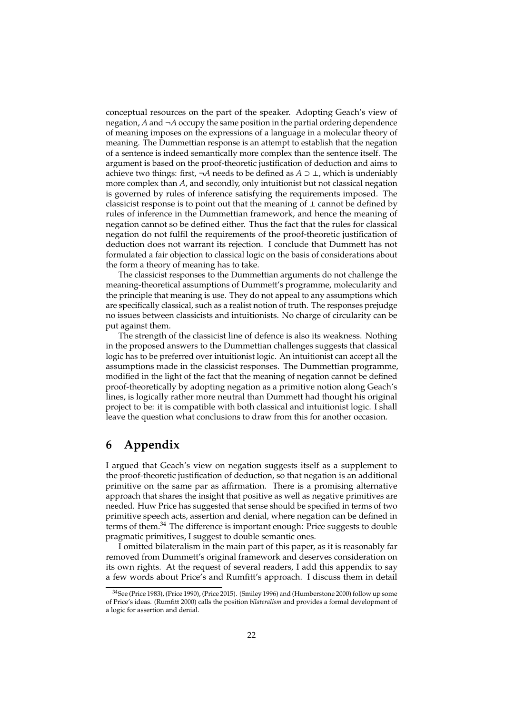conceptual resources on the part of the speaker. Adopting Geach's view of negation, *A* and ¬*A* occupy the same position in the partial ordering dependence of meaning imposes on the expressions of a language in a molecular theory of meaning. The Dummettian response is an attempt to establish that the negation of a sentence is indeed semantically more complex than the sentence itself. The argument is based on the proof-theoretic justification of deduction and aims to achieve two things: first,  $\neg A$  needs to be defined as  $A \supset \bot$ , which is undeniably more complex than *A*, and secondly, only intuitionist but not classical negation is governed by rules of inference satisfying the requirements imposed. The classicist response is to point out that the meaning of  $\perp$  cannot be defined by rules of inference in the Dummettian framework, and hence the meaning of negation cannot so be defined either. Thus the fact that the rules for classical negation do not fulfil the requirements of the proof-theoretic justification of deduction does not warrant its rejection. I conclude that Dummett has not formulated a fair objection to classical logic on the basis of considerations about the form a theory of meaning has to take.

The classicist responses to the Dummettian arguments do not challenge the meaning-theoretical assumptions of Dummett's programme, molecularity and the principle that meaning is use. They do not appeal to any assumptions which are specifically classical, such as a realist notion of truth. The responses prejudge no issues between classicists and intuitionists. No charge of circularity can be put against them.

The strength of the classicist line of defence is also its weakness. Nothing in the proposed answers to the Dummettian challenges suggests that classical logic has to be preferred over intuitionist logic. An intuitionist can accept all the assumptions made in the classicist responses. The Dummettian programme, modified in the light of the fact that the meaning of negation cannot be defined proof-theoretically by adopting negation as a primitive notion along Geach's lines, is logically rather more neutral than Dummett had thought his original project to be: it is compatible with both classical and intuitionist logic. I shall leave the question what conclusions to draw from this for another occasion.

# **6 Appendix**

I argued that Geach's view on negation suggests itself as a supplement to the proof-theoretic justification of deduction, so that negation is an additional primitive on the same par as affirmation. There is a promising alternative approach that shares the insight that positive as well as negative primitives are needed. Huw Price has suggested that sense should be specified in terms of two primitive speech acts, assertion and denial, where negation can be defined in terms of them.<sup>34</sup> The difference is important enough: Price suggests to double pragmatic primitives, I suggest to double semantic ones.

I omitted bilateralism in the main part of this paper, as it is reasonably far removed from Dummett's original framework and deserves consideration on its own rights. At the request of several readers, I add this appendix to say a few words about Price's and Rumfitt's approach. I discuss them in detail

<sup>34</sup>See (Price 1983), (Price 1990), (Price 2015). (Smiley 1996) and (Humberstone 2000) follow up some of Price's ideas. (Rumfitt 2000) calls the position *bilateralism* and provides a formal development of a logic for assertion and denial.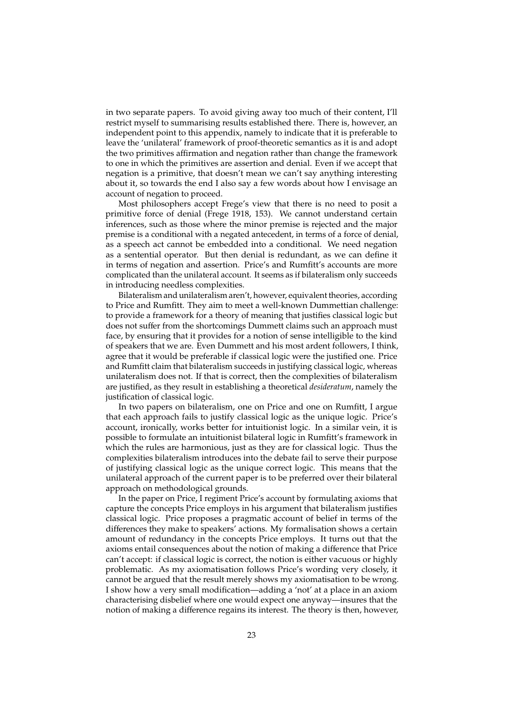in two separate papers. To avoid giving away too much of their content, I'll restrict myself to summarising results established there. There is, however, an independent point to this appendix, namely to indicate that it is preferable to leave the 'unilateral' framework of proof-theoretic semantics as it is and adopt the two primitives affirmation and negation rather than change the framework to one in which the primitives are assertion and denial. Even if we accept that negation is a primitive, that doesn't mean we can't say anything interesting about it, so towards the end I also say a few words about how I envisage an account of negation to proceed.

Most philosophers accept Frege's view that there is no need to posit a primitive force of denial (Frege 1918, 153). We cannot understand certain inferences, such as those where the minor premise is rejected and the major premise is a conditional with a negated antecedent, in terms of a force of denial, as a speech act cannot be embedded into a conditional. We need negation as a sentential operator. But then denial is redundant, as we can define it in terms of negation and assertion. Price's and Rumfitt's accounts are more complicated than the unilateral account. It seems as if bilateralism only succeeds in introducing needless complexities.

Bilateralism and unilateralism aren't, however, equivalent theories, according to Price and Rumfitt. They aim to meet a well-known Dummettian challenge: to provide a framework for a theory of meaning that justifies classical logic but does not suffer from the shortcomings Dummett claims such an approach must face, by ensuring that it provides for a notion of sense intelligible to the kind of speakers that we are. Even Dummett and his most ardent followers, I think, agree that it would be preferable if classical logic were the justified one. Price and Rumfitt claim that bilateralism succeeds in justifying classical logic, whereas unilateralism does not. If that is correct, then the complexities of bilateralism are justified, as they result in establishing a theoretical *desideratum*, namely the justification of classical logic.

In two papers on bilateralism, one on Price and one on Rumfitt, I argue that each approach fails to justify classical logic as the unique logic. Price's account, ironically, works better for intuitionist logic. In a similar vein, it is possible to formulate an intuitionist bilateral logic in Rumfitt's framework in which the rules are harmonious, just as they are for classical logic. Thus the complexities bilateralism introduces into the debate fail to serve their purpose of justifying classical logic as the unique correct logic. This means that the unilateral approach of the current paper is to be preferred over their bilateral approach on methodological grounds.

In the paper on Price, I regiment Price's account by formulating axioms that capture the concepts Price employs in his argument that bilateralism justifies classical logic. Price proposes a pragmatic account of belief in terms of the differences they make to speakers' actions. My formalisation shows a certain amount of redundancy in the concepts Price employs. It turns out that the axioms entail consequences about the notion of making a difference that Price can't accept: if classical logic is correct, the notion is either vacuous or highly problematic. As my axiomatisation follows Price's wording very closely, it cannot be argued that the result merely shows my axiomatisation to be wrong. I show how a very small modification—adding a 'not' at a place in an axiom characterising disbelief where one would expect one anyway—insures that the notion of making a difference regains its interest. The theory is then, however,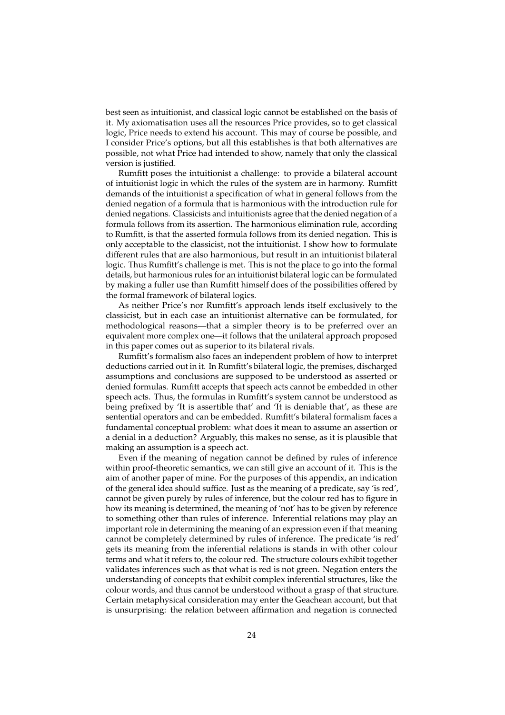best seen as intuitionist, and classical logic cannot be established on the basis of it. My axiomatisation uses all the resources Price provides, so to get classical logic, Price needs to extend his account. This may of course be possible, and I consider Price's options, but all this establishes is that both alternatives are possible, not what Price had intended to show, namely that only the classical version is justified.

Rumfitt poses the intuitionist a challenge: to provide a bilateral account of intuitionist logic in which the rules of the system are in harmony. Rumfitt demands of the intuitionist a specification of what in general follows from the denied negation of a formula that is harmonious with the introduction rule for denied negations. Classicists and intuitionists agree that the denied negation of a formula follows from its assertion. The harmonious elimination rule, according to Rumfitt, is that the asserted formula follows from its denied negation. This is only acceptable to the classicist, not the intuitionist. I show how to formulate different rules that are also harmonious, but result in an intuitionist bilateral logic. Thus Rumfitt's challenge is met. This is not the place to go into the formal details, but harmonious rules for an intuitionist bilateral logic can be formulated by making a fuller use than Rumfitt himself does of the possibilities offered by the formal framework of bilateral logics.

As neither Price's nor Rumfitt's approach lends itself exclusively to the classicist, but in each case an intuitionist alternative can be formulated, for methodological reasons—that a simpler theory is to be preferred over an equivalent more complex one—it follows that the unilateral approach proposed in this paper comes out as superior to its bilateral rivals.

Rumfitt's formalism also faces an independent problem of how to interpret deductions carried out in it. In Rumfitt's bilateral logic, the premises, discharged assumptions and conclusions are supposed to be understood as asserted or denied formulas. Rumfitt accepts that speech acts cannot be embedded in other speech acts. Thus, the formulas in Rumfitt's system cannot be understood as being prefixed by 'It is assertible that' and 'It is deniable that', as these are sentential operators and can be embedded. Rumfitt's bilateral formalism faces a fundamental conceptual problem: what does it mean to assume an assertion or a denial in a deduction? Arguably, this makes no sense, as it is plausible that making an assumption is a speech act.

Even if the meaning of negation cannot be defined by rules of inference within proof-theoretic semantics, we can still give an account of it. This is the aim of another paper of mine. For the purposes of this appendix, an indication of the general idea should suffice. Just as the meaning of a predicate, say 'is red', cannot be given purely by rules of inference, but the colour red has to figure in how its meaning is determined, the meaning of 'not' has to be given by reference to something other than rules of inference. Inferential relations may play an important role in determining the meaning of an expression even if that meaning cannot be completely determined by rules of inference. The predicate 'is red' gets its meaning from the inferential relations is stands in with other colour terms and what it refers to, the colour red. The structure colours exhibit together validates inferences such as that what is red is not green. Negation enters the understanding of concepts that exhibit complex inferential structures, like the colour words, and thus cannot be understood without a grasp of that structure. Certain metaphysical consideration may enter the Geachean account, but that is unsurprising: the relation between affirmation and negation is connected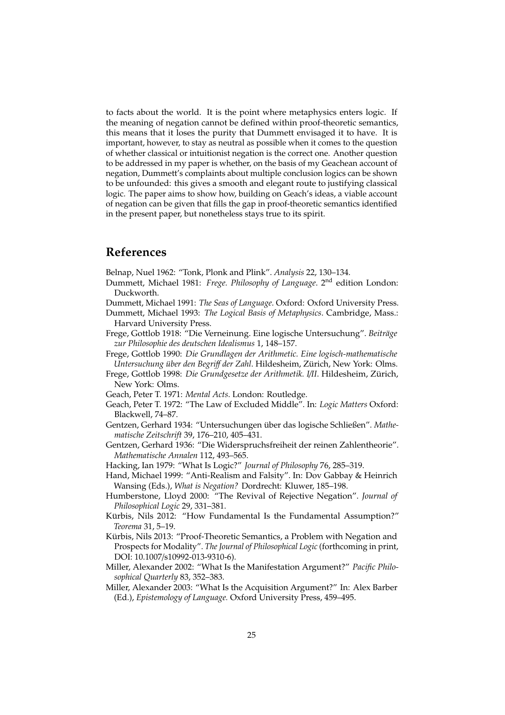to facts about the world. It is the point where metaphysics enters logic. If the meaning of negation cannot be defined within proof-theoretic semantics, this means that it loses the purity that Dummett envisaged it to have. It is important, however, to stay as neutral as possible when it comes to the question of whether classical or intuitionist negation is the correct one. Another question to be addressed in my paper is whether, on the basis of my Geachean account of negation, Dummett's complaints about multiple conclusion logics can be shown to be unfounded: this gives a smooth and elegant route to justifying classical logic. The paper aims to show how, building on Geach's ideas, a viable account of negation can be given that fills the gap in proof-theoretic semantics identified in the present paper, but nonetheless stays true to its spirit.

## **References**

Belnap, Nuel 1962: "Tonk, Plonk and Plink". *Analysis* 22, 130–134.

- Dummett, Michael 1981: *Frege. Philosophy of Language*. 2nd edition London: Duckworth.
- Dummett, Michael 1991: *The Seas of Language*. Oxford: Oxford University Press.
- Dummett, Michael 1993: *The Logical Basis of Metaphysics*. Cambridge, Mass.: Harvard University Press.
- Frege, Gottlob 1918: "Die Verneinung. Eine logische Untersuchung". *Beitrage ¨ zur Philosophie des deutschen Idealismus* 1, 148–157.
- Frege, Gottlob 1990: *Die Grundlagen der Arithmetic. Eine logisch-mathematische Untersuchung ¨uber den Begri*ff *der Zahl*. Hildesheim, Zurich, New York: Olms. ¨
- Frege, Gottlob 1998: *Die Grundgesetze der Arithmetik. I/II*. Hildesheim, Zürich, New York: Olms.
- Geach, Peter T. 1971: *Mental Acts*. London: Routledge.
- Geach, Peter T. 1972: "The Law of Excluded Middle". In: *Logic Matters* Oxford: Blackwell, 74–87.
- Gentzen, Gerhard 1934: "Untersuchungen über das logische Schließen". Mathe*matische Zeitschrift* 39, 176–210, 405–431.
- Gentzen, Gerhard 1936: "Die Widerspruchsfreiheit der reinen Zahlentheorie". *Mathematische Annalen* 112, 493–565.
- Hacking, Ian 1979: "What Is Logic?" *Journal of Philosophy* 76, 285–319.
- Hand, Michael 1999: "Anti-Realism and Falsity". In: Dov Gabbay & Heinrich Wansing (Eds.), *What is Negation?* Dordrecht: Kluwer, 185–198.
- Humberstone, Lloyd 2000: "The Revival of Rejective Negation". *Journal of Philosophical Logic* 29, 331–381.
- Kürbis, Nils 2012: "How Fundamental Is the Fundamental Assumption?" *Teorema* 31, 5–19.
- Kürbis, Nils 2013: "Proof-Theoretic Semantics, a Problem with Negation and Prospects for Modality". *The Journal of Philosophical Logic* (forthcoming in print, DOI: 10.1007/s10992-013-9310-6).
- Miller, Alexander 2002: "What Is the Manifestation Argument?" *Pacific Philosophical Quarterly* 83, 352–383.
- Miller, Alexander 2003: "What Is the Acquisition Argument?" In: Alex Barber (Ed.), *Epistemology of Language.* Oxford University Press, 459–495.